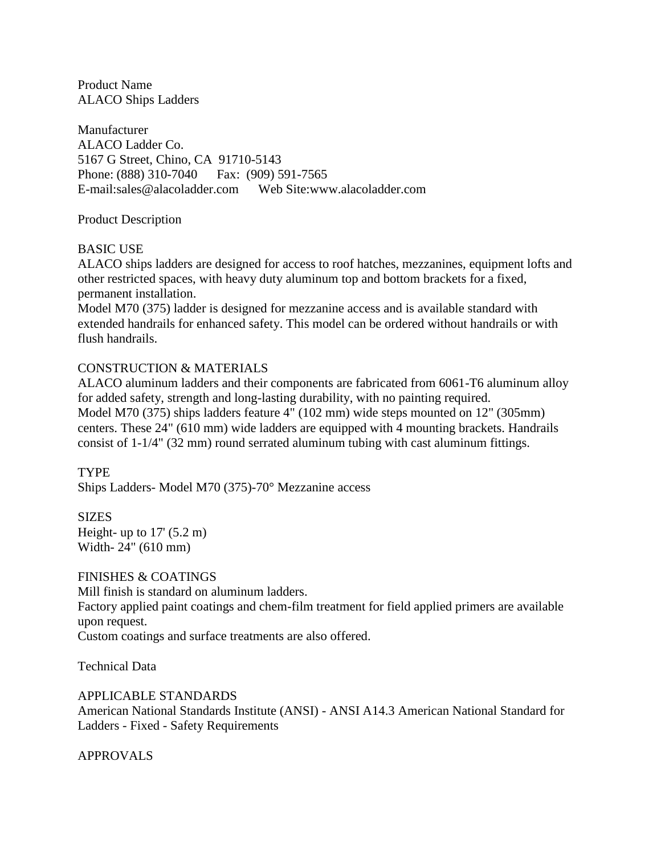Product Name ALACO Ships Ladders

Manufacturer ALACO Ladder Co. 5167 G Street, Chino, CA 91710-5143 Phone: (888) 310-7040 Fax: (909) 591-7565 E-mail:sales@alacoladder.com Web Site:www.alacoladder.com

Product Description

BASIC USE

ALACO ships ladders are designed for access to roof hatches, mezzanines, equipment lofts and other restricted spaces, with heavy duty aluminum top and bottom brackets for a fixed, permanent installation.

Model M70 (375) ladder is designed for mezzanine access and is available standard with extended handrails for enhanced safety. This model can be ordered without handrails or with flush handrails.

# CONSTRUCTION & MATERIALS

ALACO aluminum ladders and their components are fabricated from 6061-T6 aluminum alloy for added safety, strength and long-lasting durability, with no painting required. Model M70 (375) ships ladders feature 4" (102 mm) wide steps mounted on 12" (305mm) centers. These 24" (610 mm) wide ladders are equipped with 4 mounting brackets. Handrails consist of 1-1/4" (32 mm) round serrated aluminum tubing with cast aluminum fittings.

**TYPE** Ships Ladders- Model M70 (375)-70° Mezzanine access

SIZES Height- up to  $17'$  (5.2 m) Width- 24" (610 mm)

FINISHES & COATINGS

Mill finish is standard on aluminum ladders.

Factory applied paint coatings and chem-film treatment for field applied primers are available upon request.

Custom coatings and surface treatments are also offered.

Technical Data

APPLICABLE STANDARDS

American National Standards Institute (ANSI) - ANSI A14.3 American National Standard for Ladders - Fixed - Safety Requirements

APPROVALS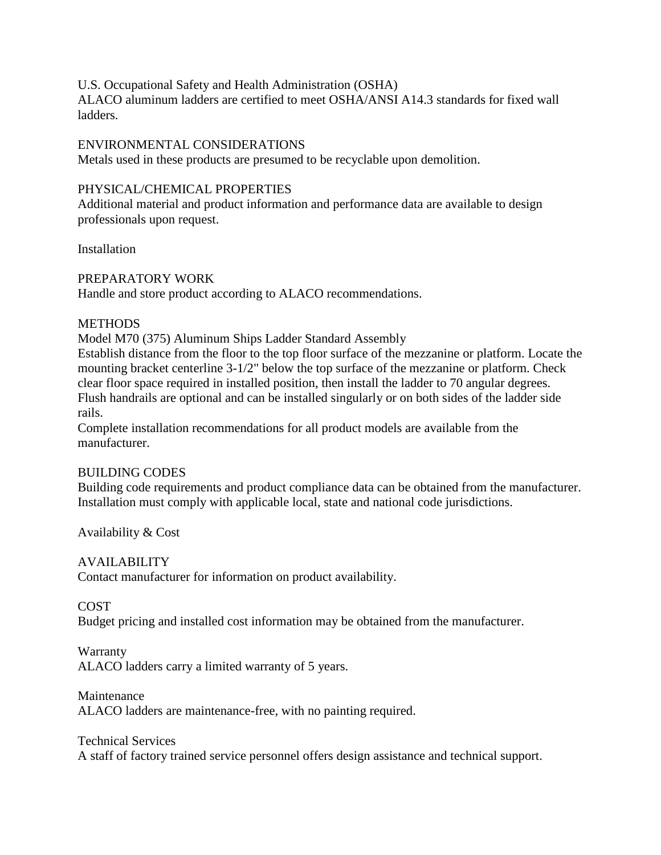U.S. Occupational Safety and Health Administration (OSHA)

ALACO aluminum ladders are certified to meet OSHA/ANSI A14.3 standards for fixed wall ladders.

## ENVIRONMENTAL CONSIDERATIONS

Metals used in these products are presumed to be recyclable upon demolition.

## PHYSICAL/CHEMICAL PROPERTIES

Additional material and product information and performance data are available to design professionals upon request.

**Installation** 

### PREPARATORY WORK

Handle and store product according to ALACO recommendations.

## **METHODS**

Model M70 (375) Aluminum Ships Ladder Standard Assembly

Establish distance from the floor to the top floor surface of the mezzanine or platform. Locate the mounting bracket centerline 3-1/2" below the top surface of the mezzanine or platform. Check clear floor space required in installed position, then install the ladder to 70 angular degrees. Flush handrails are optional and can be installed singularly or on both sides of the ladder side rails.

Complete installation recommendations for all product models are available from the manufacturer.

### BUILDING CODES

Building code requirements and product compliance data can be obtained from the manufacturer. Installation must comply with applicable local, state and national code jurisdictions.

Availability & Cost

## AVAILABILITY

Contact manufacturer for information on product availability.

### **COST**

Budget pricing and installed cost information may be obtained from the manufacturer.

Warranty

ALACO ladders carry a limited warranty of 5 years.

### Maintenance

ALACO ladders are maintenance-free, with no painting required.

Technical Services

A staff of factory trained service personnel offers design assistance and technical support.